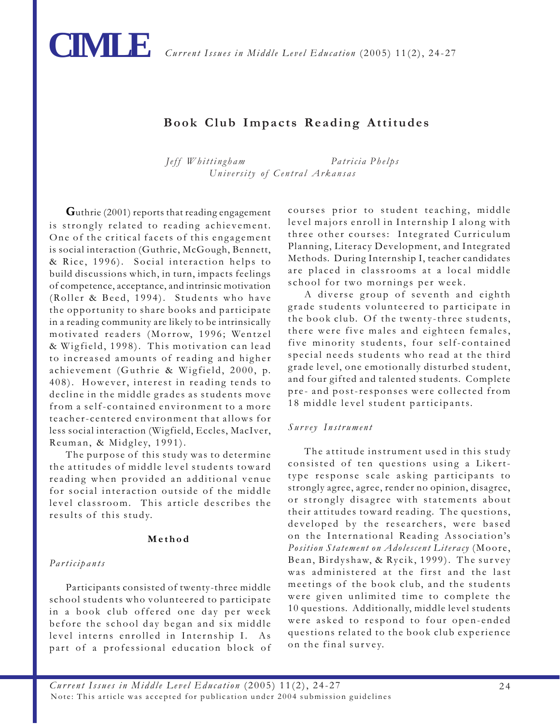

# **Book Club Impacts Reading Attitudes**

*Jeff Whittingham Patricia Phelps University of Central Arkansas*

**G**uthrie (2001) reports that reading engagement is strongly related to reading achievement. One of the critical facets of this engagement is social interaction (Guthrie, McGough, Bennett, & Rice, 1996). Social interaction helps to build discussions which, in turn, impacts feelings of competence, acceptance, and intrinsic motivation (Roller & Beed, 1994). Students who have the opportunity to share books and participate in a reading community are likely to be intrinsically motivated readers (Morrow, 1996; Wentzel & Wigfield, 1998). This motivation can lead to increased amounts of reading and higher achievement (Guthrie & Wigfield, 2000, p. 408). However, interest in reading tends to decline in the middle grades as students move from a self-contained environment to a more teacher-centered environment that allows for less social interaction (Wigfield, Eccles, MacIver, Reuman, & Midgley, 1991).

The purpose of this study was to determine the attitudes of middle level students toward reading when provided an additional venue for social interaction outside of the middle level classroom. This article describes the results of this study.

# **Method**

# *Participants*

Participants consisted of twenty-three middle school students who volunteered to participate in a book club offered one day per week before the school day began and six middle level interns enrolled in Internship I. As part of a professional education block of courses prior to student teaching, middle level majors enroll in Internship I along with three other courses: Integrated Curriculum Planning, Literacy Development, and Integrated Methods. During Internship I, teacher candidates are placed in classrooms at a local middle school for two mornings per week.

A diverse group of seventh and eighth grade students volunteered to participate in the book club. Of the twenty-three students, there were five males and eighteen females, five minority students, four self-contained special needs students who read at the third grade level, one emotionally disturbed student, and four gifted and talented students. Complete pre- and post-responses were collected from 18 middle level student participants.

# *Survey Instrument*

The attitude instrument used in this study consisted of ten questions using a Likerttype response scale asking participants to strongly agree, agree, render no opinion, disagree, or strongly disagree with statements about their attitudes toward reading. The questions, developed by the researchers, were based on the International Reading Association's *Position Statement on Adolescent Literacy* (Moore, Bean, Birdyshaw, & Rycik, 1999). The survey was administered at the first and the last meetings of the book club, and the students were given unlimited time to complete the 10 questions. Additionally, middle level students were asked to respond to four open-ended questions related to the book club experience on the final survey.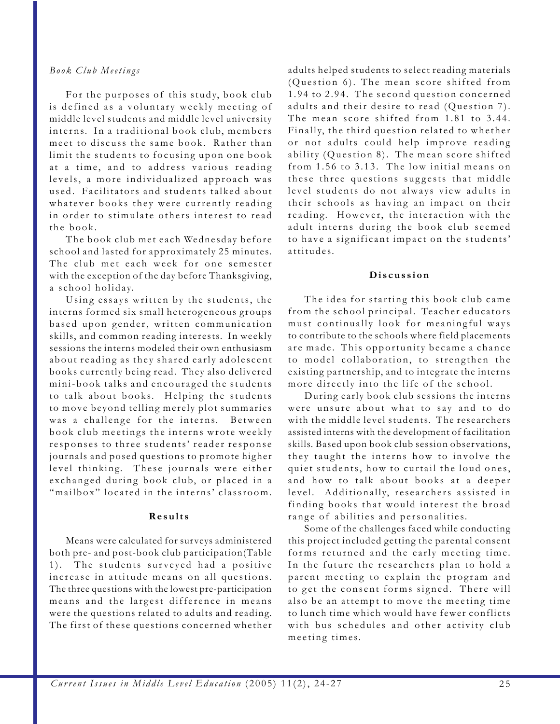# *Book Club Meetings*

For the purposes of this study, book club is defined as a voluntary weekly meeting of middle level students and middle level university interns. In a traditional book club, members meet to discuss the same book. Rather than limit the students to focusing upon one book at a time, and to address various reading levels, a more individualized approach was used. Facilitators and students talked about whatever books they were currently reading in order to stimulate others interest to read the book.

The book club met each Wednesday before school and lasted for approximately 25 minutes. The club met each week for one semester with the exception of the day before Thanksgiving, a school holiday.

Using essays written by the students, the interns formed six small heterogeneous groups based upon gender, written communication skills, and common reading interests. In weekly sessions the interns modeled their own enthusiasm about reading as they shared early adolescent books currently being read. They also delivered mini-book talks and encouraged the students to talk about books. Helping the students to move beyond telling merely plot summaries was a challenge for the interns. Between book club meetings the interns wrote weekly responses to three students' reader response journals and posed questions to promote higher level thinking. These journals were either exchanged during book club, or placed in a "mailbox" located in the interns' classroom.

#### **Results**

Means were calculated for surveys administered both pre- and post-book club participation(Table 1). The students surveyed had a positive increase in attitude means on all questions. The three questions with the lowest pre-participation means and the largest difference in means were the questions related to adults and reading. The first of these questions concerned whether

adults helped students to select reading materials (Question 6). The mean score shifted from 1.94 to 2.94. The second question concerned adults and their desire to read (Question 7). The mean score shifted from 1.81 to 3.44. Finally, the third question related to whether or not adults could help improve reading ability (Question 8). The mean score shifted from 1.56 to 3.13. The low initial means on these three questions suggests that middle level students do not always view adults in their schools as having an impact on their reading. However, the interaction with the adult interns during the book club seemed to have a significant impact on the students' attitudes.

# **Discussion**

The idea for starting this book club came from the school principal. Teacher educators must continually look for meaningful ways to contribute to the schools where field placements are made. This opportunity became a chance to model collaboration, to strengthen the existing partnership, and to integrate the interns more directly into the life of the school.

During early book club sessions the interns were unsure about what to say and to do with the middle level students. The researchers assisted interns with the development of facilitation skills. Based upon book club session observations, they taught the interns how to involve the quiet students, how to curtail the loud ones, and how to talk about books at a deeper level. Additionally, researchers assisted in finding books that would interest the broad range of abilities and personalities.

Some of the challenges faced while conducting this project included getting the parental consent forms returned and the early meeting time. In the future the researchers plan to hold a parent meeting to explain the program and to get the consent forms signed. There will also be an attempt to move the meeting time to lunch time which would have fewer conflicts with bus schedules and other activity club meeting times.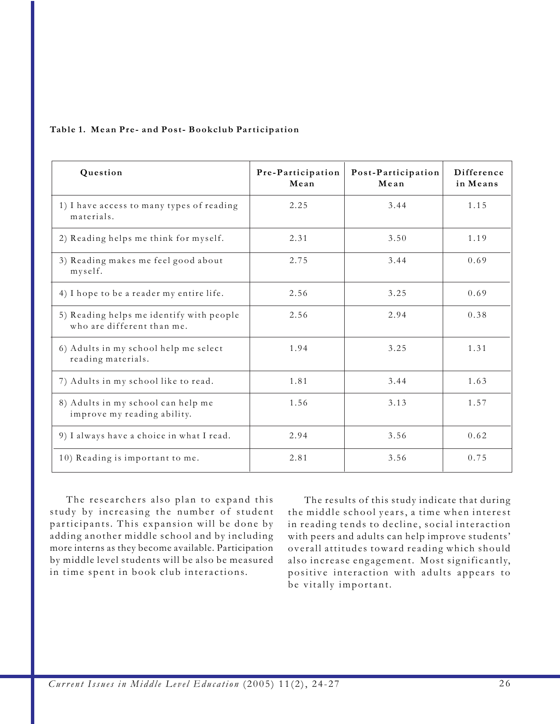# **Table 1. Mean Pre- and Post- Bookclub Participation**

| Question                                                               | Pre-Participation<br>Mean | Post-Participation<br>Mean | Difference<br>in Means |
|------------------------------------------------------------------------|---------------------------|----------------------------|------------------------|
| 1) I have access to many types of reading<br>materials.                | 2.25                      | 3.44                       | 1.15                   |
| 2) Reading helps me think for myself.                                  | 2.31                      | 3.50                       | 1.19                   |
| 3) Reading makes me feel good about<br>myself.                         | 2.75                      | 3.44                       | 0.69                   |
| 4) I hope to be a reader my entire life.                               | 2.56                      | 3.25                       | 0.69                   |
| 5) Reading helps me identify with people<br>who are different than me. | 2.56                      | 2.94                       | 0.38                   |
| 6) Adults in my school help me select<br>reading materials.            | 1.94                      | 3.25                       | 1.31                   |
| 7) Adults in my school like to read.                                   | 1.81                      | 3.44                       | 1.63                   |
| 8) Adults in my school can help me<br>improve my reading ability.      | 1.56                      | 3.13                       | 1.57                   |
| 9) I always have a choice in what I read.                              | 2.94                      | 3.56                       | 0.62                   |
| 10) Reading is important to me.                                        | 2.81                      | 3.56                       | 0.75                   |

The researchers also plan to expand this study by increasing the number of student participants. This expansion will be done by adding another middle school and by including more interns as they become available. Participation by middle level students will be also be measured in time spent in book club interactions.

The results of this study indicate that during the middle school years, a time when interest in reading tends to decline, social interaction with peers and adults can help improve students' overall attitudes toward reading which should also increase engagement. Most significantly, positive interaction with adults appears to be vitally important.